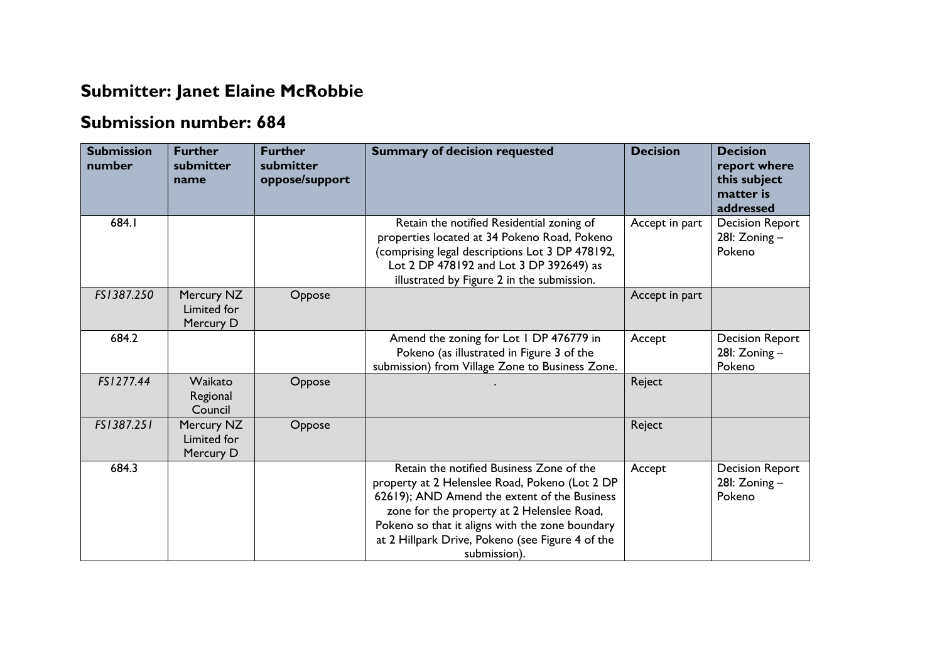## **Submitter: Janet Elaine McRobbie**

## **Submission number: 684**

| <b>Submission</b><br>number | <b>Further</b><br>submitter<br>name    | <b>Further</b><br>submitter<br>oppose/support | <b>Summary of decision requested</b>                                                                                                                                                                                                                                                                            | <b>Decision</b> | <b>Decision</b><br>report where<br>this subject<br>matter is<br>addressed |
|-----------------------------|----------------------------------------|-----------------------------------------------|-----------------------------------------------------------------------------------------------------------------------------------------------------------------------------------------------------------------------------------------------------------------------------------------------------------------|-----------------|---------------------------------------------------------------------------|
| 684.1                       |                                        |                                               | Retain the notified Residential zoning of<br>properties located at 34 Pokeno Road, Pokeno<br>(comprising legal descriptions Lot 3 DP 478192,<br>Lot 2 DP 478192 and Lot 3 DP 392649) as<br>illustrated by Figure 2 in the submission.                                                                           | Accept in part  | <b>Decision Report</b><br>28I: Zoning -<br>Pokeno                         |
| FS1387.250                  | Mercury NZ<br>Limited for<br>Mercury D | Oppose                                        |                                                                                                                                                                                                                                                                                                                 | Accept in part  |                                                                           |
| 684.2                       |                                        |                                               | Amend the zoning for Lot 1 DP 476779 in<br>Pokeno (as illustrated in Figure 3 of the<br>submission) from Village Zone to Business Zone.                                                                                                                                                                         | Accept          | <b>Decision Report</b><br>28I: Zoning -<br>Pokeno                         |
| FS1277.44                   | Waikato<br>Regional<br>Council         | Oppose                                        |                                                                                                                                                                                                                                                                                                                 | Reject          |                                                                           |
| FS1387.251                  | Mercury NZ<br>Limited for<br>Mercury D | Oppose                                        |                                                                                                                                                                                                                                                                                                                 | Reject          |                                                                           |
| 684.3                       |                                        |                                               | Retain the notified Business Zone of the<br>property at 2 Helenslee Road, Pokeno (Lot 2 DP<br>62619); AND Amend the extent of the Business<br>zone for the property at 2 Helenslee Road,<br>Pokeno so that it aligns with the zone boundary<br>at 2 Hillpark Drive, Pokeno (see Figure 4 of the<br>submission). | Accept          | <b>Decision Report</b><br>28 $l: Zoning -$<br>Pokeno                      |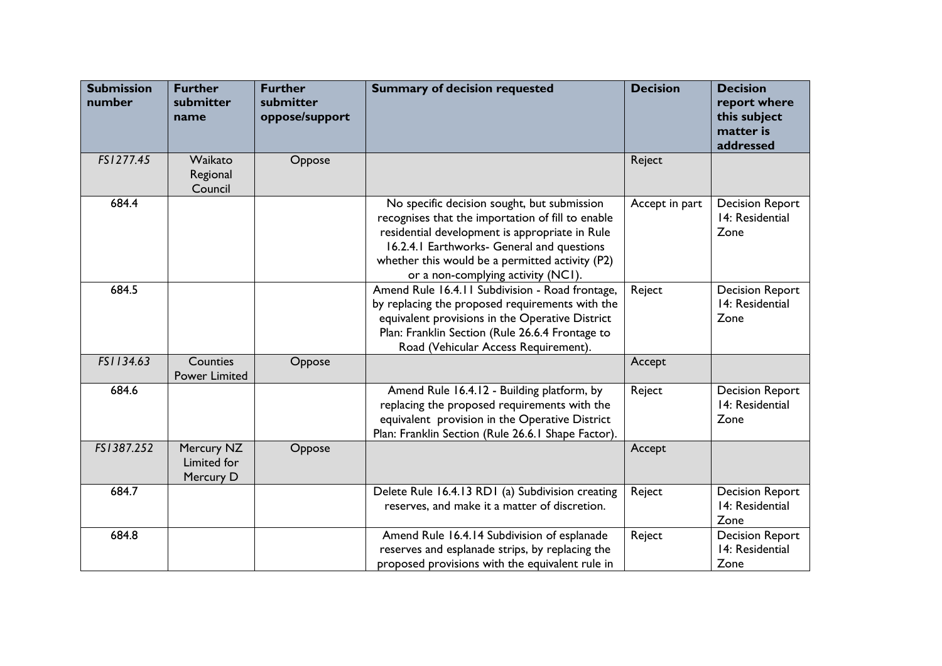| <b>Submission</b><br>number | <b>Further</b><br>submitter<br>name    | <b>Further</b><br>submitter<br>oppose/support | <b>Summary of decision requested</b>                                                                                                                                                                                                                                                      | <b>Decision</b> | <b>Decision</b><br>report where<br>this subject<br>matter is<br>addressed |
|-----------------------------|----------------------------------------|-----------------------------------------------|-------------------------------------------------------------------------------------------------------------------------------------------------------------------------------------------------------------------------------------------------------------------------------------------|-----------------|---------------------------------------------------------------------------|
| FS1277.45                   | Waikato<br>Regional<br>Council         | Oppose                                        |                                                                                                                                                                                                                                                                                           | Reject          |                                                                           |
| 684.4                       |                                        |                                               | No specific decision sought, but submission<br>recognises that the importation of fill to enable<br>residential development is appropriate in Rule<br>16.2.4.1 Earthworks- General and questions<br>whether this would be a permitted activity (P2)<br>or a non-complying activity (NCI). | Accept in part  | <b>Decision Report</b><br>14: Residential<br>Zone                         |
| 684.5                       |                                        |                                               | Amend Rule 16.4.11 Subdivision - Road frontage,<br>by replacing the proposed requirements with the<br>equivalent provisions in the Operative District<br>Plan: Franklin Section (Rule 26.6.4 Frontage to<br>Road (Vehicular Access Requirement).                                          | Reject          | <b>Decision Report</b><br>14: Residential<br>Zone                         |
| FS1134.63                   | Counties<br>Power Limited              | Oppose                                        |                                                                                                                                                                                                                                                                                           | Accept          |                                                                           |
| 684.6                       |                                        |                                               | Amend Rule 16.4.12 - Building platform, by<br>replacing the proposed requirements with the<br>equivalent provision in the Operative District<br>Plan: Franklin Section (Rule 26.6.1 Shape Factor).                                                                                        | Reject          | <b>Decision Report</b><br>14: Residential<br>Zone                         |
| FS1387.252                  | Mercury NZ<br>Limited for<br>Mercury D | Oppose                                        |                                                                                                                                                                                                                                                                                           | Accept          |                                                                           |
| 684.7                       |                                        |                                               | Delete Rule 16.4.13 RD1 (a) Subdivision creating<br>reserves, and make it a matter of discretion.                                                                                                                                                                                         | Reject          | <b>Decision Report</b><br>14: Residential<br>Zone                         |
| 684.8                       |                                        |                                               | Amend Rule 16.4.14 Subdivision of esplanade<br>reserves and esplanade strips, by replacing the<br>proposed provisions with the equivalent rule in                                                                                                                                         | Reject          | <b>Decision Report</b><br>14: Residential<br>Zone                         |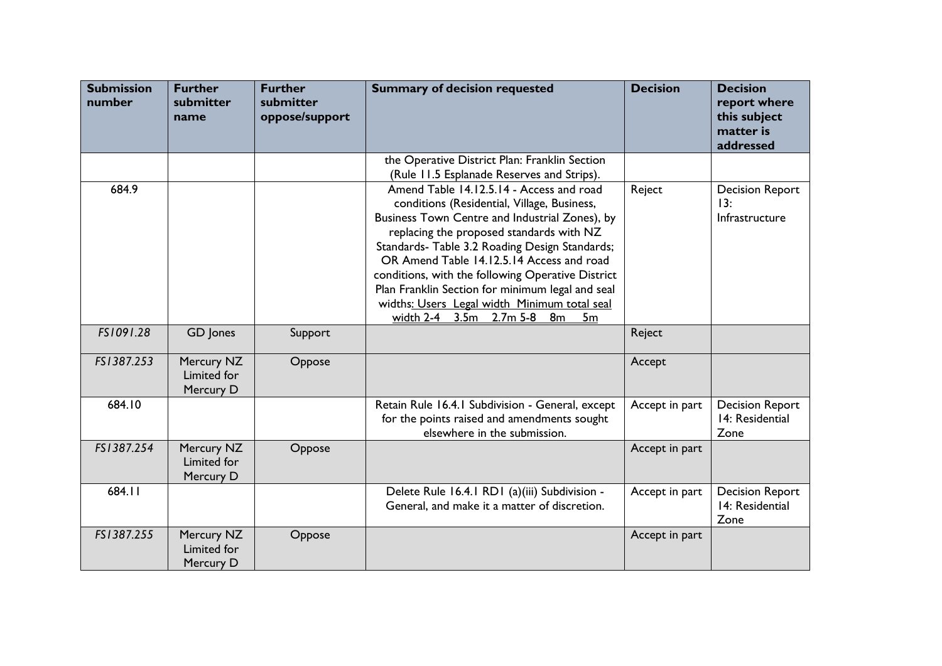| <b>Submission</b><br>number | <b>Further</b><br>submitter<br>name    | <b>Further</b><br>submitter<br>oppose/support | <b>Summary of decision requested</b>                                                                                                                                                                                                                                                                                                                                                                                                                                                          | <b>Decision</b> | <b>Decision</b><br>report where<br>this subject<br>matter is<br>addressed |
|-----------------------------|----------------------------------------|-----------------------------------------------|-----------------------------------------------------------------------------------------------------------------------------------------------------------------------------------------------------------------------------------------------------------------------------------------------------------------------------------------------------------------------------------------------------------------------------------------------------------------------------------------------|-----------------|---------------------------------------------------------------------------|
|                             |                                        |                                               | the Operative District Plan: Franklin Section<br>(Rule 11.5 Esplanade Reserves and Strips).                                                                                                                                                                                                                                                                                                                                                                                                   |                 |                                                                           |
| 684.9                       |                                        |                                               | Amend Table 14.12.5.14 - Access and road<br>conditions (Residential, Village, Business,<br>Business Town Centre and Industrial Zones), by<br>replacing the proposed standards with NZ<br>Standards- Table 3.2 Roading Design Standards;<br>OR Amend Table 14.12.5.14 Access and road<br>conditions, with the following Operative District<br>Plan Franklin Section for minimum legal and seal<br>widths: Users Legal width Minimum total seal<br>width 2-4 3.5m 2.7m 5-8 8m<br>5 <sub>m</sub> | Reject          | <b>Decision Report</b><br>13:<br>Infrastructure                           |
| FS1091.28                   | GD Jones                               | Support                                       |                                                                                                                                                                                                                                                                                                                                                                                                                                                                                               | Reject          |                                                                           |
| FS1387.253                  | Mercury NZ<br>Limited for<br>Mercury D | Oppose                                        |                                                                                                                                                                                                                                                                                                                                                                                                                                                                                               | Accept          |                                                                           |
| 684.10                      |                                        |                                               | Retain Rule 16.4.1 Subdivision - General, except<br>for the points raised and amendments sought<br>elsewhere in the submission.                                                                                                                                                                                                                                                                                                                                                               | Accept in part  | <b>Decision Report</b><br>14: Residential<br>Zone                         |
| FS1387.254                  | Mercury NZ<br>Limited for<br>Mercury D | Oppose                                        |                                                                                                                                                                                                                                                                                                                                                                                                                                                                                               | Accept in part  |                                                                           |
| 684.11                      |                                        |                                               | Delete Rule 16.4.1 RD1 (a)(iii) Subdivision -<br>General, and make it a matter of discretion.                                                                                                                                                                                                                                                                                                                                                                                                 | Accept in part  | <b>Decision Report</b><br>14: Residential<br>Zone                         |
| FS1387.255                  | Mercury NZ<br>Limited for<br>Mercury D | Oppose                                        |                                                                                                                                                                                                                                                                                                                                                                                                                                                                                               | Accept in part  |                                                                           |